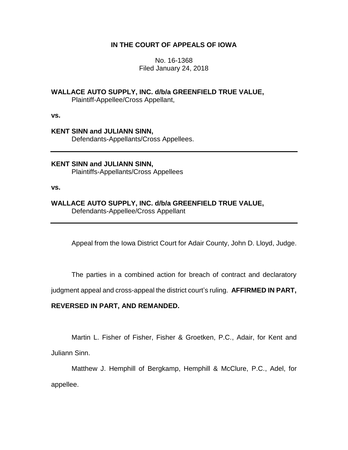## **IN THE COURT OF APPEALS OF IOWA**

No. 16-1368 Filed January 24, 2018

## **WALLACE AUTO SUPPLY, INC. d/b/a GREENFIELD TRUE VALUE,**

Plaintiff-Appellee/Cross Appellant,

**vs.**

# **KENT SINN and JULIANN SINN,** Defendants-Appellants/Cross Appellees.

**KENT SINN and JULIANN SINN,** Plaintiffs-Appellants/Cross Appellees

**vs.**

## **WALLACE AUTO SUPPLY, INC. d/b/a GREENFIELD TRUE VALUE,** Defendants-Appellee/Cross Appellant

Appeal from the Iowa District Court for Adair County, John D. Lloyd, Judge.

The parties in a combined action for breach of contract and declaratory

judgment appeal and cross-appeal the district court's ruling. **AFFIRMED IN PART,** 

## **REVERSED IN PART, AND REMANDED.**

Martin L. Fisher of Fisher, Fisher & Groetken, P.C., Adair, for Kent and Juliann Sinn.

Matthew J. Hemphill of Bergkamp, Hemphill & McClure, P.C., Adel, for appellee.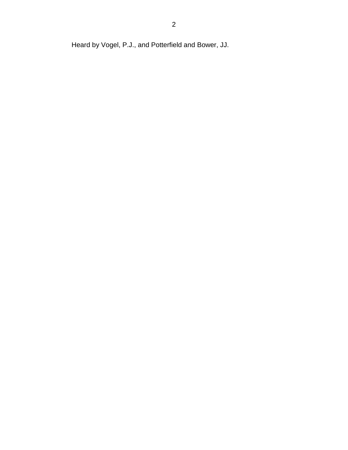Heard by Vogel, P.J., and Potterfield and Bower, JJ.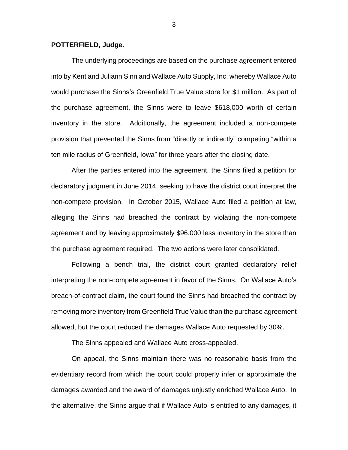### **POTTERFIELD, Judge.**

The underlying proceedings are based on the purchase agreement entered into by Kent and Juliann Sinn and Wallace Auto Supply, Inc. whereby Wallace Auto would purchase the Sinns's Greenfield True Value store for \$1 million. As part of the purchase agreement, the Sinns were to leave \$618,000 worth of certain inventory in the store. Additionally, the agreement included a non-compete provision that prevented the Sinns from "directly or indirectly" competing "within a ten mile radius of Greenfield, Iowa" for three years after the closing date.

After the parties entered into the agreement, the Sinns filed a petition for declaratory judgment in June 2014, seeking to have the district court interpret the non-compete provision. In October 2015, Wallace Auto filed a petition at law, alleging the Sinns had breached the contract by violating the non-compete agreement and by leaving approximately \$96,000 less inventory in the store than the purchase agreement required. The two actions were later consolidated.

Following a bench trial, the district court granted declaratory relief interpreting the non-compete agreement in favor of the Sinns. On Wallace Auto's breach-of-contract claim, the court found the Sinns had breached the contract by removing more inventory from Greenfield True Value than the purchase agreement allowed, but the court reduced the damages Wallace Auto requested by 30%.

The Sinns appealed and Wallace Auto cross-appealed.

On appeal, the Sinns maintain there was no reasonable basis from the evidentiary record from which the court could properly infer or approximate the damages awarded and the award of damages unjustly enriched Wallace Auto. In the alternative, the Sinns argue that if Wallace Auto is entitled to any damages, it

3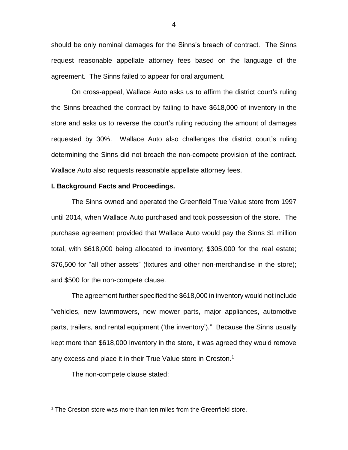should be only nominal damages for the Sinns's breach of contract. The Sinns request reasonable appellate attorney fees based on the language of the agreement. The Sinns failed to appear for oral argument.

On cross-appeal, Wallace Auto asks us to affirm the district court's ruling the Sinns breached the contract by failing to have \$618,000 of inventory in the store and asks us to reverse the court's ruling reducing the amount of damages requested by 30%. Wallace Auto also challenges the district court's ruling determining the Sinns did not breach the non-compete provision of the contract. Wallace Auto also requests reasonable appellate attorney fees.

### **I. Background Facts and Proceedings.**

The Sinns owned and operated the Greenfield True Value store from 1997 until 2014, when Wallace Auto purchased and took possession of the store. The purchase agreement provided that Wallace Auto would pay the Sinns \$1 million total, with \$618,000 being allocated to inventory; \$305,000 for the real estate; \$76,500 for "all other assets" (fixtures and other non-merchandise in the store); and \$500 for the non-compete clause.

The agreement further specified the \$618,000 in inventory would not include "vehicles, new lawnmowers, new mower parts, major appliances, automotive parts, trailers, and rental equipment ('the inventory')." Because the Sinns usually kept more than \$618,000 inventory in the store, it was agreed they would remove any excess and place it in their True Value store in Creston.<sup>1</sup>

The non-compete clause stated:

 $1$  The Creston store was more than ten miles from the Greenfield store.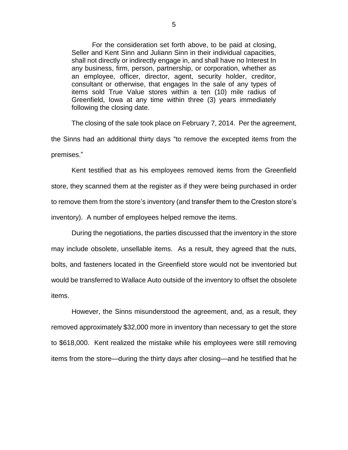For the consideration set forth above, to be paid at closing, Seller and Kent Sinn and Juliann Sinn in their individual capacities, shall not directly or indirectly engage in, and shall have no Interest In any business, firm, person, partnership, or corporation, whether as an employee, officer, director, agent, security holder, creditor, consultant or otherwise, that engages In the sale of any types of items sold True Value stores within a ten (10) mile radius of Greenfield, Iowa at any time within three (3) years immediately following the closing date.

The closing of the sale took place on February 7, 2014. Per the agreement, the Sinns had an additional thirty days "to remove the excepted items from the premises."

Kent testified that as his employees removed items from the Greenfield store, they scanned them at the register as if they were being purchased in order to remove them from the store's inventory (and transfer them to the Creston store's inventory). A number of employees helped remove the items.

During the negotiations, the parties discussed that the inventory in the store may include obsolete, unsellable items. As a result, they agreed that the nuts, bolts, and fasteners located in the Greenfield store would not be inventoried but would be transferred to Wallace Auto outside of the inventory to offset the obsolete items.

However, the Sinns misunderstood the agreement, and, as a result, they removed approximately \$32,000 more in inventory than necessary to get the store to \$618,000. Kent realized the mistake while his employees were still removing items from the store—during the thirty days after closing—and he testified that he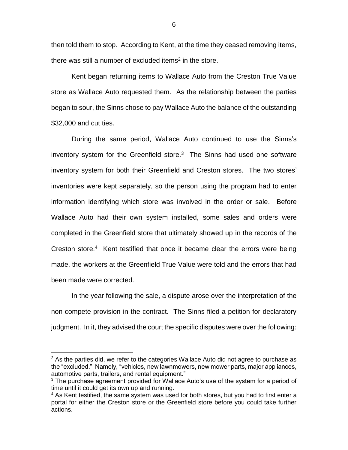then told them to stop. According to Kent, at the time they ceased removing items, there was still a number of excluded items<sup>2</sup> in the store.

Kent began returning items to Wallace Auto from the Creston True Value store as Wallace Auto requested them. As the relationship between the parties began to sour, the Sinns chose to pay Wallace Auto the balance of the outstanding \$32,000 and cut ties.

During the same period, Wallace Auto continued to use the Sinns's inventory system for the Greenfield store. $3$  The Sinns had used one software inventory system for both their Greenfield and Creston stores. The two stores' inventories were kept separately, so the person using the program had to enter information identifying which store was involved in the order or sale. Before Wallace Auto had their own system installed, some sales and orders were completed in the Greenfield store that ultimately showed up in the records of the Creston store.<sup>4</sup> Kent testified that once it became clear the errors were being made, the workers at the Greenfield True Value were told and the errors that had been made were corrected.

In the year following the sale, a dispute arose over the interpretation of the non-compete provision in the contract. The Sinns filed a petition for declaratory judgment. In it, they advised the court the specific disputes were over the following:

 $2$  As the parties did, we refer to the categories Wallace Auto did not agree to purchase as the "excluded." Namely, "vehicles, new lawnmowers, new mower parts, major appliances, automotive parts, trailers, and rental equipment."

 $3$  The purchase agreement provided for Wallace Auto's use of the system for a period of time until it could get its own up and running.

 $4$  As Kent testified, the same system was used for both stores, but you had to first enter a portal for either the Creston store or the Greenfield store before you could take further actions.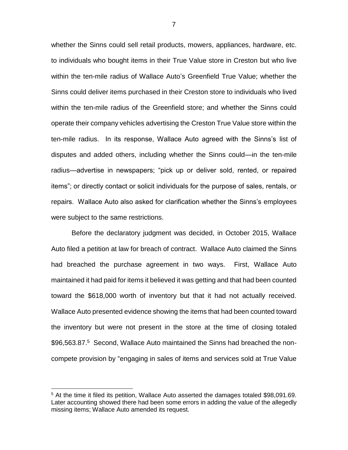whether the Sinns could sell retail products, mowers, appliances, hardware, etc. to individuals who bought items in their True Value store in Creston but who live within the ten-mile radius of Wallace Auto's Greenfield True Value; whether the Sinns could deliver items purchased in their Creston store to individuals who lived within the ten-mile radius of the Greenfield store; and whether the Sinns could operate their company vehicles advertising the Creston True Value store within the ten-mile radius. In its response, Wallace Auto agreed with the Sinns's list of disputes and added others, including whether the Sinns could—in the ten-mile radius—advertise in newspapers; "pick up or deliver sold, rented, or repaired items"; or directly contact or solicit individuals for the purpose of sales, rentals, or repairs. Wallace Auto also asked for clarification whether the Sinns's employees were subject to the same restrictions.

Before the declaratory judgment was decided, in October 2015, Wallace Auto filed a petition at law for breach of contract. Wallace Auto claimed the Sinns had breached the purchase agreement in two ways. First, Wallace Auto maintained it had paid for items it believed it was getting and that had been counted toward the \$618,000 worth of inventory but that it had not actually received. Wallace Auto presented evidence showing the items that had been counted toward the inventory but were not present in the store at the time of closing totaled \$96,563.87.<sup>5</sup> Second, Wallace Auto maintained the Sinns had breached the noncompete provision by "engaging in sales of items and services sold at True Value

<sup>5</sup> At the time it filed its petition, Wallace Auto asserted the damages totaled \$98,091.69. Later accounting showed there had been some errors in adding the value of the allegedly missing items; Wallace Auto amended its request.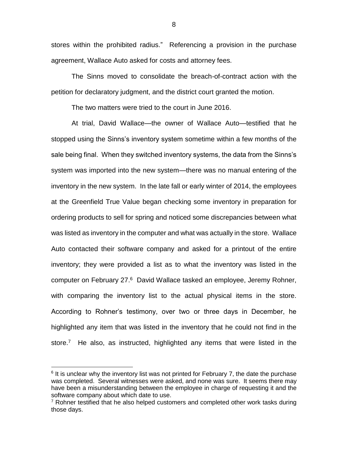stores within the prohibited radius." Referencing a provision in the purchase agreement, Wallace Auto asked for costs and attorney fees.

The Sinns moved to consolidate the breach-of-contract action with the petition for declaratory judgment, and the district court granted the motion.

The two matters were tried to the court in June 2016.

At trial, David Wallace—the owner of Wallace Auto—testified that he stopped using the Sinns's inventory system sometime within a few months of the sale being final. When they switched inventory systems, the data from the Sinns's system was imported into the new system—there was no manual entering of the inventory in the new system. In the late fall or early winter of 2014, the employees at the Greenfield True Value began checking some inventory in preparation for ordering products to sell for spring and noticed some discrepancies between what was listed as inventory in the computer and what was actually in the store. Wallace Auto contacted their software company and asked for a printout of the entire inventory; they were provided a list as to what the inventory was listed in the computer on February 27.<sup>6</sup> David Wallace tasked an employee, Jeremy Rohner, with comparing the inventory list to the actual physical items in the store. According to Rohner's testimony, over two or three days in December, he highlighted any item that was listed in the inventory that he could not find in the store.<sup>7</sup> He also, as instructed, highlighted any items that were listed in the

 $6$  It is unclear why the inventory list was not printed for February 7, the date the purchase was completed. Several witnesses were asked, and none was sure. It seems there may have been a misunderstanding between the employee in charge of requesting it and the software company about which date to use.

 $7$  Rohner testified that he also helped customers and completed other work tasks during those days.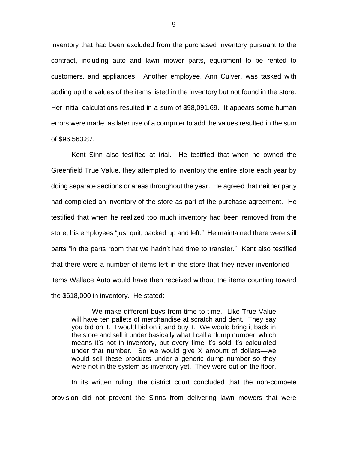inventory that had been excluded from the purchased inventory pursuant to the contract, including auto and lawn mower parts, equipment to be rented to customers, and appliances. Another employee, Ann Culver, was tasked with adding up the values of the items listed in the inventory but not found in the store. Her initial calculations resulted in a sum of \$98,091.69. It appears some human errors were made, as later use of a computer to add the values resulted in the sum of \$96,563.87.

Kent Sinn also testified at trial. He testified that when he owned the Greenfield True Value, they attempted to inventory the entire store each year by doing separate sections or areas throughout the year. He agreed that neither party had completed an inventory of the store as part of the purchase agreement. He testified that when he realized too much inventory had been removed from the store, his employees "just quit, packed up and left." He maintained there were still parts "in the parts room that we hadn't had time to transfer." Kent also testified that there were a number of items left in the store that they never inventoried items Wallace Auto would have then received without the items counting toward the \$618,000 in inventory. He stated:

We make different buys from time to time. Like True Value will have ten pallets of merchandise at scratch and dent. They say you bid on it. I would bid on it and buy it. We would bring it back in the store and sell it under basically what I call a dump number, which means it's not in inventory, but every time it's sold it's calculated under that number. So we would give X amount of dollars—we would sell these products under a generic dump number so they were not in the system as inventory yet. They were out on the floor.

In its written ruling, the district court concluded that the non-compete provision did not prevent the Sinns from delivering lawn mowers that were

9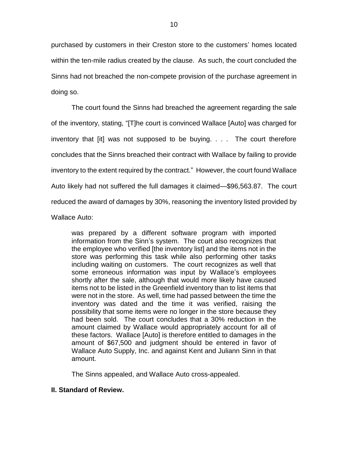purchased by customers in their Creston store to the customers' homes located within the ten-mile radius created by the clause. As such, the court concluded the Sinns had not breached the non-compete provision of the purchase agreement in doing so.

The court found the Sinns had breached the agreement regarding the sale of the inventory, stating, "[T]he court is convinced Wallace [Auto] was charged for inventory that [it] was not supposed to be buying. . . . The court therefore concludes that the Sinns breached their contract with Wallace by failing to provide inventory to the extent required by the contract." However, the court found Wallace Auto likely had not suffered the full damages it claimed—\$96,563.87. The court reduced the award of damages by 30%, reasoning the inventory listed provided by Wallace Auto:

was prepared by a different software program with imported information from the Sinn's system. The court also recognizes that the employee who verified [the inventory list] and the items not in the store was performing this task while also performing other tasks including waiting on customers. The court recognizes as well that some erroneous information was input by Wallace's employees shortly after the sale, although that would more likely have caused items not to be listed in the Greenfield inventory than to list items that were not in the store. As well, time had passed between the time the inventory was dated and the time it was verified, raising the possibility that some items were no longer in the store because they had been sold. The court concludes that a 30% reduction in the amount claimed by Wallace would appropriately account for all of these factors. Wallace [Auto] is therefore entitled to damages in the amount of \$67,500 and judgment should be entered in favor of Wallace Auto Supply, Inc. and against Kent and Juliann Sinn in that amount.

The Sinns appealed, and Wallace Auto cross-appealed.

## **II. Standard of Review.**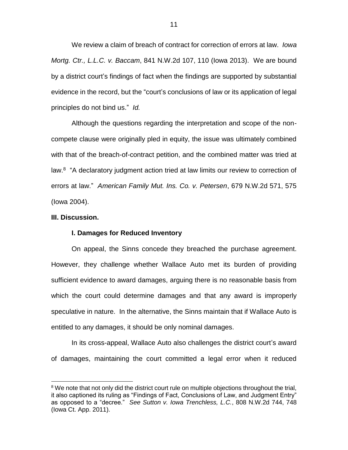We review a claim of breach of contract for correction of errors at law. *Iowa Mortg. Ctr., L.L.C. v. Baccam*, 841 N.W.2d 107, 110 (Iowa 2013). We are bound by a district court's findings of fact when the findings are supported by substantial evidence in the record, but the "court's conclusions of law or its application of legal principles do not bind us." *Id.* 

Although the questions regarding the interpretation and scope of the noncompete clause were originally pled in equity, the issue was ultimately combined with that of the breach-of-contract petition, and the combined matter was tried at law.<sup>8</sup> "A declaratory judgment action tried at law limits our review to correction of errors at law." *American Family Mut. Ins. Co. v. Petersen*, 679 N.W.2d 571, 575 (Iowa 2004).

#### **III. Discussion.**

 $\overline{a}$ 

#### **I. Damages for Reduced Inventory**

On appeal, the Sinns concede they breached the purchase agreement. However, they challenge whether Wallace Auto met its burden of providing sufficient evidence to award damages, arguing there is no reasonable basis from which the court could determine damages and that any award is improperly speculative in nature. In the alternative, the Sinns maintain that if Wallace Auto is entitled to any damages, it should be only nominal damages.

In its cross-appeal, Wallace Auto also challenges the district court's award of damages, maintaining the court committed a legal error when it reduced

<sup>&</sup>lt;sup>8</sup> We note that not only did the district court rule on multiple objections throughout the trial, it also captioned its ruling as "Findings of Fact, Conclusions of Law, and Judgment Entry" as opposed to a "decree." *See Sutton v. Iowa Trenchless, L.C.*, 808 N.W.2d 744, 748 (Iowa Ct. App. 2011).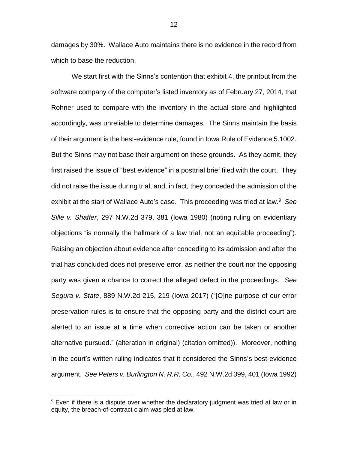damages by 30%. Wallace Auto maintains there is no evidence in the record from which to base the reduction.

We start first with the Sinns's contention that exhibit 4, the printout from the software company of the computer's listed inventory as of February 27, 2014, that Rohner used to compare with the inventory in the actual store and highlighted accordingly, was unreliable to determine damages. The Sinns maintain the basis of their argument is the best-evidence rule, found in Iowa Rule of Evidence 5.1002. But the Sinns may not base their argument on these grounds. As they admit, they first raised the issue of "best evidence" in a posttrial brief filed with the court. They did not raise the issue during trial, and, in fact, they conceded the admission of the exhibit at the start of Wallace Auto's case. This proceeding was tried at law.<sup>9</sup> See *Sille v. Shaffer*, 297 N.W.2d 379, 381 (Iowa 1980) (noting ruling on evidentiary objections "is normally the hallmark of a law trial, not an equitable proceeding"). Raising an objection about evidence after conceding to its admission and after the trial has concluded does not preserve error, as neither the court nor the opposing party was given a chance to correct the alleged defect in the proceedings. *See Segura v. State*, 889 N.W.2d 215, 219 (Iowa 2017) ("[O]ne purpose of our error preservation rules is to ensure that the opposing party and the district court are alerted to an issue at a time when corrective action can be taken or another alternative pursued." (alteration in original) (citation omitted)). Moreover, nothing in the court's written ruling indicates that it considered the Sinns's best-evidence argument. *See Peters v. Burlington N. R.R. Co.*, 492 N.W.2d 399, 401 (Iowa 1992)

<sup>&</sup>lt;sup>9</sup> Even if there is a dispute over whether the declaratory judgment was tried at law or in equity, the breach-of-contract claim was pled at law.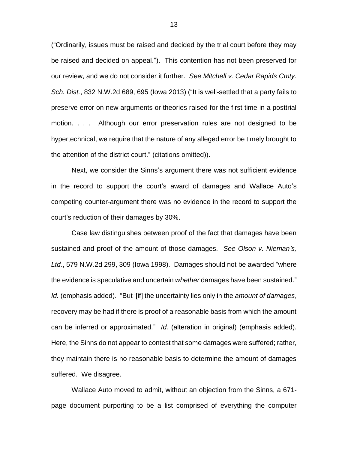("Ordinarily, issues must be raised and decided by the trial court before they may be raised and decided on appeal."). This contention has not been preserved for our review, and we do not consider it further. *See Mitchell v. Cedar Rapids Cmty. Sch. Dist.*, 832 N.W.2d 689, 695 (Iowa 2013) ("It is well-settled that a party fails to preserve error on new arguments or theories raised for the first time in a posttrial motion. . . . Although our error preservation rules are not designed to be hypertechnical, we require that the nature of any alleged error be timely brought to the attention of the district court." (citations omitted)).

Next, we consider the Sinns's argument there was not sufficient evidence in the record to support the court's award of damages and Wallace Auto's competing counter-argument there was no evidence in the record to support the court's reduction of their damages by 30%.

Case law distinguishes between proof of the fact that damages have been sustained and proof of the amount of those damages. *See Olson v. Nieman's, Ltd.*, 579 N.W.2d 299, 309 (Iowa 1998). Damages should not be awarded "where the evidence is speculative and uncertain *whether* damages have been sustained." *Id.* (emphasis added)."But '[if] the uncertainty lies only in the *amount of damages*, recovery may be had if there is proof of a reasonable basis from which the amount can be inferred or approximated." *Id.* (alteration in original) (emphasis added). Here, the Sinns do not appear to contest that some damages were suffered; rather, they maintain there is no reasonable basis to determine the amount of damages suffered. We disagree.

Wallace Auto moved to admit, without an objection from the Sinns, a 671 page document purporting to be a list comprised of everything the computer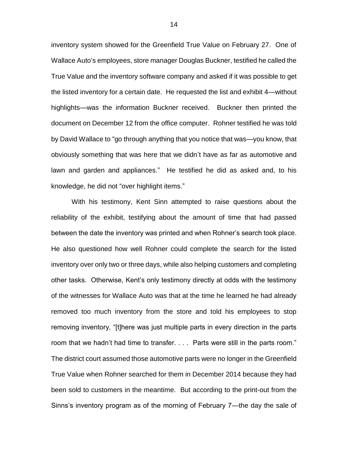inventory system showed for the Greenfield True Value on February 27. One of Wallace Auto's employees, store manager Douglas Buckner, testified he called the True Value and the inventory software company and asked if it was possible to get the listed inventory for a certain date. He requested the list and exhibit 4—without highlights—was the information Buckner received. Buckner then printed the document on December 12 from the office computer. Rohner testified he was told by David Wallace to "go through anything that you notice that was—you know, that obviously something that was here that we didn't have as far as automotive and lawn and garden and appliances." He testified he did as asked and, to his knowledge, he did not "over highlight items."

With his testimony, Kent Sinn attempted to raise questions about the reliability of the exhibit, testifying about the amount of time that had passed between the date the inventory was printed and when Rohner's search took place. He also questioned how well Rohner could complete the search for the listed inventory over only two or three days, while also helping customers and completing other tasks. Otherwise, Kent's only testimony directly at odds with the testimony of the witnesses for Wallace Auto was that at the time he learned he had already removed too much inventory from the store and told his employees to stop removing inventory, "[t]here was just multiple parts in every direction in the parts room that we hadn't had time to transfer. . . . Parts were still in the parts room." The district court assumed those automotive parts were no longer in the Greenfield True Value when Rohner searched for them in December 2014 because they had been sold to customers in the meantime. But according to the print-out from the Sinns's inventory program as of the morning of February 7—the day the sale of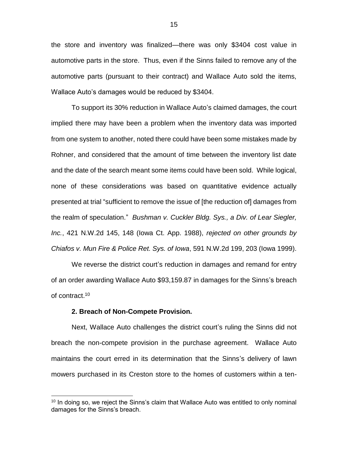the store and inventory was finalized—there was only \$3404 cost value in automotive parts in the store. Thus, even if the Sinns failed to remove any of the automotive parts (pursuant to their contract) and Wallace Auto sold the items, Wallace Auto's damages would be reduced by \$3404.

To support its 30% reduction in Wallace Auto's claimed damages, the court implied there may have been a problem when the inventory data was imported from one system to another, noted there could have been some mistakes made by Rohner, and considered that the amount of time between the inventory list date and the date of the search meant some items could have been sold. While logical, none of these considerations was based on quantitative evidence actually presented at trial "sufficient to remove the issue of [the reduction of] damages from the realm of speculation." *Bushman v. Cuckler Bldg. Sys., a Div. of Lear Siegler, Inc.*, 421 N.W.2d 145, 148 (Iowa Ct. App. 1988), *rejected on other grounds by Chiafos v. Mun Fire & Police Ret. Sys. of Iowa*, 591 N.W.2d 199, 203 (Iowa 1999).

We reverse the district court's reduction in damages and remand for entry of an order awarding Wallace Auto \$93,159.87 in damages for the Sinns's breach of contract.<sup>10</sup>

#### **2. Breach of Non-Compete Provision.**

 $\overline{a}$ 

Next, Wallace Auto challenges the district court's ruling the Sinns did not breach the non-compete provision in the purchase agreement. Wallace Auto maintains the court erred in its determination that the Sinns's delivery of lawn mowers purchased in its Creston store to the homes of customers within a ten-

<sup>&</sup>lt;sup>10</sup> In doing so, we reject the Sinns's claim that Wallace Auto was entitled to only nominal damages for the Sinns's breach.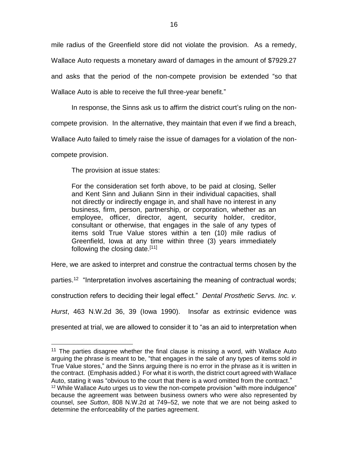mile radius of the Greenfield store did not violate the provision. As a remedy, Wallace Auto requests a monetary award of damages in the amount of \$7929.27 and asks that the period of the non-compete provision be extended "so that Wallace Auto is able to receive the full three-year benefit."

In response, the Sinns ask us to affirm the district court's ruling on the non-

compete provision. In the alternative, they maintain that even if we find a breach,

Wallace Auto failed to timely raise the issue of damages for a violation of the non-

compete provision.

 $\overline{a}$ 

The provision at issue states:

For the consideration set forth above, to be paid at closing, Seller and Kent Sinn and Juliann Sinn in their individual capacities, shall not directly or indirectly engage in, and shall have no interest in any business, firm, person, partnership, or corporation, whether as an employee, officer, director, agent, security holder, creditor, consultant or otherwise, that engages in the sale of any types of items sold True Value stores within a ten (10) mile radius of Greenfield, Iowa at any time within three (3) years immediately following the closing date.[11]

Here, we are asked to interpret and construe the contractual terms chosen by the parties.<sup>12</sup> "Interpretation involves ascertaining the meaning of contractual words; construction refers to deciding their legal effect." *Dental Prosthetic Servs. Inc. v. Hurst*, 463 N.W.2d 36, 39 (Iowa 1990). Insofar as extrinsic evidence was presented at trial, we are allowed to consider it to "as an aid to interpretation when

<sup>&</sup>lt;sup>11</sup> The parties disagree whether the final clause is missing a word, with Wallace Auto arguing the phrase is meant to be, "that engages in the sale of any types of items sold *in*  True Value stores," and the Sinns arguing there is no error in the phrase as it is written in the contract. (Emphasis added.) For what it is worth, the district court agreed with Wallace Auto, stating it was "obvious to the court that there is a word omitted from the contract."  $12$  While Wallace Auto urges us to view the non-compete provision "with more indulgence" because the agreement was between business owners who were also represented by counsel, *see Sutton*, 808 N.W.2d at 749–52, we note that we are not being asked to determine the enforceability of the parties agreement.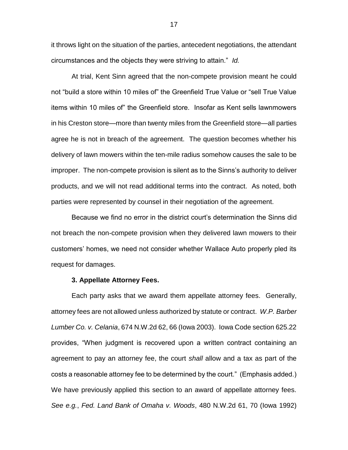it throws light on the situation of the parties, antecedent negotiations, the attendant circumstances and the objects they were striving to attain." *Id.* 

At trial, Kent Sinn agreed that the non-compete provision meant he could not "build a store within 10 miles of" the Greenfield True Value or "sell True Value items within 10 miles of" the Greenfield store. Insofar as Kent sells lawnmowers in his Creston store—more than twenty miles from the Greenfield store—all parties agree he is not in breach of the agreement. The question becomes whether his delivery of lawn mowers within the ten-mile radius somehow causes the sale to be improper. The non-compete provision is silent as to the Sinns's authority to deliver products, and we will not read additional terms into the contract. As noted, both parties were represented by counsel in their negotiation of the agreement.

Because we find no error in the district court's determination the Sinns did not breach the non-compete provision when they delivered lawn mowers to their customers' homes, we need not consider whether Wallace Auto properly pled its request for damages.

#### **3. Appellate Attorney Fees.**

Each party asks that we award them appellate attorney fees. Generally, attorney fees are not allowed unless authorized by statute or contract. *W.P. Barber Lumber Co. v. Celania*, 674 N.W.2d 62, 66 (Iowa 2003). Iowa Code section 625.22 provides, "When judgment is recovered upon a written contract containing an agreement to pay an attorney fee, the court *shall* allow and a tax as part of the costs a reasonable attorney fee to be determined by the court." (Emphasis added.) We have previously applied this section to an award of appellate attorney fees. *See e.g.*, *Fed. Land Bank of Omaha v. Woods*, 480 N.W.2d 61, 70 (Iowa 1992)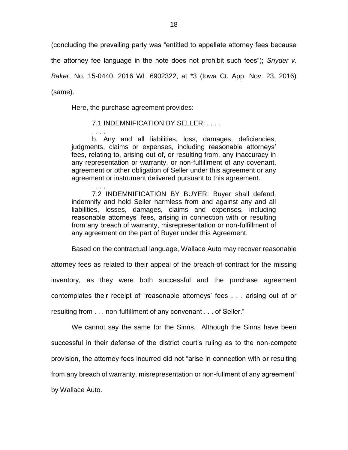(concluding the prevailing party was "entitled to appellate attorney fees because

the attorney fee language in the note does not prohibit such fees"); *Snyder v.* 

*Baker*, No. 15-0440, 2016 WL 6902322, at \*3 (Iowa Ct. App. Nov. 23, 2016) (same).

Here, the purchase agreement provides:

. . . .

. . . .

### 7.1 INDEMNIFICATION BY SELLER: . . . .

b. Any and all liabilities, loss, damages, deficiencies, judgments, claims or expenses, including reasonable attorneys' fees, relating to, arising out of, or resulting from, any inaccuracy in any representation or warranty, or non-fulfillment of any covenant, agreement or other obligation of Seller under this agreement or any agreement or instrument delivered pursuant to this agreement.

7.2 INDEMNIFICATION BY BUYER: Buyer shall defend, indemnify and hold Seller harmless from and against any and all liabilities, losses, damages, claims and expenses, including reasonable attorneys' fees, arising in connection with or resulting from any breach of warranty, misrepresentation or non-fulfillment of any agreement on the part of Buyer under this Agreement.

Based on the contractual language, Wallace Auto may recover reasonable

attorney fees as related to their appeal of the breach-of-contract for the missing inventory, as they were both successful and the purchase agreement contemplates their receipt of "reasonable attorneys' fees . . . arising out of or resulting from . . . non-fulfillment of any convenant . . . of Seller."

We cannot say the same for the Sinns. Although the Sinns have been successful in their defense of the district court's ruling as to the non-compete provision, the attorney fees incurred did not "arise in connection with or resulting from any breach of warranty, misrepresentation or non-fullment of any agreement" by Wallace Auto.